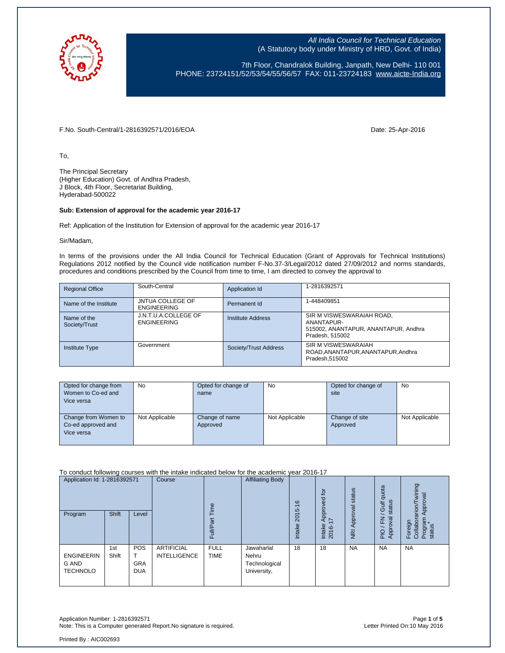

7th Floor, Chandralok Building, Janpath, New Delhi- 110 001 PHONE: 23724151/52/53/54/55/56/57 FAX: 011-23724183 [www.aicte-India.org](http://www.aicte-india.org/)

F.No. South-Central/1-2816392571/2016/EOA Date: 25-Apr-2016

To,

The Principal Secretary (Higher Education) Govt. of Andhra Pradesh, J Block, 4th Floor, Secretariat Building, Hyderabad-500022

#### **Sub: Extension of approval for the academic year 2016-17**

Ref: Application of the Institution for Extension of approval for the academic year 2016-17

Sir/Madam,

In terms of the provisions under the All India Council for Technical Education (Grant of Approvals for Technical Institutions) Regulations 2012 notified by the Council vide notification number F-No.37-3/Legal/2012 dated 27/09/2012 and norms standards, procedures and conditions prescribed by the Council from time to time, I am directed to convey the approval to

| <b>Regional Office</b>       | South-Central                                 | Application Id        | 1-2816392571                                                                                       |
|------------------------------|-----------------------------------------------|-----------------------|----------------------------------------------------------------------------------------------------|
| Name of the Institute        | <b>JNTUA COLLEGE OF</b><br><b>ENGINEERING</b> | Permanent Id          | 1-448409851                                                                                        |
| Name of the<br>Society/Trust | J.N.T.U.A.COLLEGE OF<br><b>ENGINEERING</b>    | Institute Address     | SIR M VISWESWARAIAH ROAD,<br>ANANTAPUR-<br>515002, ANANTAPUR, ANANTAPUR, Andhra<br>Pradesh, 515002 |
| <b>Institute Type</b>        | Government                                    | Society/Trust Address | SIR M VISWESWARAIAH<br>ROAD.ANANTAPUR.ANANTAPUR.Andhra<br>Pradesh, 515002                          |

| Opted for change from<br>Women to Co-ed and<br>Vice versa | No             | Opted for change of<br>name | <b>No</b>      | Opted for change of<br>site | <b>No</b>      |
|-----------------------------------------------------------|----------------|-----------------------------|----------------|-----------------------------|----------------|
| Change from Women to<br>Co-ed approved and<br>Vice versa  | Not Applicable | Change of name<br>Approved  | Not Applicable | Change of site<br>Approved  | Not Applicable |

To conduct following courses with the intake indicated below for the academic year 2016-17

| Application Id: 1-2816392571<br>Program       | Shift        | Level                                  | Course                                   | $\omega$<br>Full           | <b>Affiliating Body</b>                             | $\frac{6}{5}$<br>2015<br>Intake | <b>b</b><br>Approved<br>$\sim$<br>Intake<br>2016- | NRI Approval status | quota<br>status<br><b>Gulf</b><br>준<br>ख़ु<br>PIO / F<br>Appro | wining<br>Approval<br>arion/<br>Foreign<br>Collabor<br>Program<br>status |
|-----------------------------------------------|--------------|----------------------------------------|------------------------------------------|----------------------------|-----------------------------------------------------|---------------------------------|---------------------------------------------------|---------------------|----------------------------------------------------------------|--------------------------------------------------------------------------|
| <b>ENGINEERIN</b><br>G AND<br><b>TECHNOLO</b> | 1st<br>Shift | <b>POS</b><br><b>GRA</b><br><b>DUA</b> | <b>ARTIFICIAL</b><br><b>INTELLIGENCE</b> | <b>FULL</b><br><b>TIME</b> | Jawaharlal<br>Nehru<br>Technological<br>University, | 18                              | 18                                                | <b>NA</b>           | <b>NA</b>                                                      | <b>NA</b>                                                                |

Application Number: 1-2816392571 Page **1** of **5** Note: This is a Computer generated Report. No signature is required.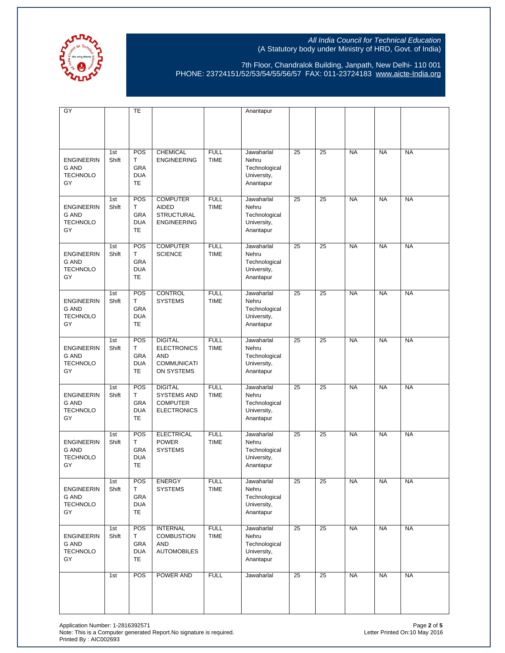

7th Floor, Chandralok Building, Janpath, New Delhi- 110 001 PHONE: 23724151/52/53/54/55/56/57 FAX: 011-23724183 [www.aicte-India.org](http://www.aicte-india.org/)

| GY                                                         |              | TE                                                |                                                                                        |                            | Anantapur                                                        |    |                 |           |           |           |
|------------------------------------------------------------|--------------|---------------------------------------------------|----------------------------------------------------------------------------------------|----------------------------|------------------------------------------------------------------|----|-----------------|-----------|-----------|-----------|
|                                                            |              |                                                   |                                                                                        |                            |                                                                  |    |                 |           |           |           |
| <b>ENGINEERIN</b><br><b>G AND</b><br><b>TECHNOLO</b><br>GY | 1st<br>Shift | POS<br>T<br>GRA<br><b>DUA</b><br><b>TE</b>        | <b>CHEMICAL</b><br><b>ENGINEERING</b>                                                  | <b>FULL</b><br><b>TIME</b> | Jawaharlal<br>Nehru<br>Technological<br>University,<br>Anantapur | 25 | 25              | <b>NA</b> | <b>NA</b> | <b>NA</b> |
| <b>ENGINEERIN</b><br><b>G AND</b><br><b>TECHNOLO</b><br>GY | 1st<br>Shift | POS<br>Т<br>GRA<br><b>DUA</b><br><b>TE</b>        | <b>COMPUTER</b><br><b>AIDED</b><br><b>STRUCTURAL</b><br><b>ENGINEERING</b>             | <b>FULL</b><br><b>TIME</b> | Jawaharlal<br>Nehru<br>Technological<br>University,<br>Anantapur | 25 | 25              | <b>NA</b> | <b>NA</b> | <b>NA</b> |
| <b>ENGINEERIN</b><br><b>G AND</b><br><b>TECHNOLO</b><br>GY | 1st<br>Shift | POS<br>Т<br><b>GRA</b><br><b>DUA</b><br><b>TE</b> | <b>COMPUTER</b><br><b>SCIENCE</b>                                                      | <b>FULL</b><br><b>TIME</b> | Jawaharlal<br>Nehru<br>Technological<br>University,<br>Anantapur | 25 | 25              | <b>NA</b> | <b>NA</b> | <b>NA</b> |
| <b>ENGINEERIN</b><br><b>G AND</b><br><b>TECHNOLO</b><br>GY | 1st<br>Shift | POS<br>T<br>GRA<br><b>DUA</b><br><b>TE</b>        | <b>CONTROL</b><br><b>SYSTEMS</b>                                                       | <b>FULL</b><br><b>TIME</b> | Jawaharlal<br>Nehru<br>Technological<br>University,<br>Anantapur | 25 | 25              | <b>NA</b> | <b>NA</b> | <b>NA</b> |
| <b>ENGINEERIN</b><br><b>G AND</b><br><b>TECHNOLO</b><br>GY | 1st<br>Shift | POS<br>T<br><b>GRA</b><br><b>DUA</b><br><b>TE</b> | <b>DIGITAL</b><br><b>ELECTRONICS</b><br><b>AND</b><br><b>COMMUNICATI</b><br>ON SYSTEMS | <b>FULL</b><br><b>TIME</b> | Jawaharlal<br>Nehru<br>Technological<br>University,<br>Anantapur | 25 | 25              | <b>NA</b> | <b>NA</b> | <b>NA</b> |
| <b>ENGINEERIN</b><br><b>G AND</b><br><b>TECHNOLO</b><br>GY | 1st<br>Shift | POS<br>т<br>GRA<br><b>DUA</b><br><b>TE</b>        | <b>DIGITAL</b><br><b>SYSTEMS AND</b><br><b>COMPUTER</b><br><b>ELECTRONICS</b>          | <b>FULL</b><br><b>TIME</b> | Jawaharlal<br>Nehru<br>Technological<br>University,<br>Anantapur | 25 | 25              | <b>NA</b> | <b>NA</b> | <b>NA</b> |
| <b>ENGINEERIN</b><br><b>G AND</b><br><b>TECHNOLO</b><br>GY | 1st<br>Shift | POS<br>Т<br><b>GRA</b><br><b>DUA</b><br><b>TE</b> | <b>ELECTRICAL</b><br><b>POWER</b><br><b>SYSTEMS</b>                                    | <b>FULL</b><br><b>TIME</b> | Jawaharlal<br>Nehru<br>Technological<br>University,<br>Anantapur | 25 | 25              | <b>NA</b> | <b>NA</b> | <b>NA</b> |
| <b>ENGINEERIN</b><br>G AND<br><b>TECHNOLO</b><br>GY        | 1st<br>Shift | POS<br>т<br>GRA<br><b>DUA</b><br>TE               | <b>ENERGY</b><br><b>SYSTEMS</b>                                                        | <b>FULL</b><br><b>TIME</b> | Jawaharlal<br>Nehru<br>Technological<br>University,<br>Anantapur | 25 | $\overline{25}$ | <b>NA</b> | <b>NA</b> | <b>NA</b> |
| <b>ENGINEERIN</b><br>G AND<br><b>TECHNOLO</b><br>GY        | 1st<br>Shift | POS<br>Τ<br>GRA<br><b>DUA</b><br><b>TE</b>        | <b>INTERNAL</b><br><b>COMBUSTION</b><br><b>AND</b><br><b>AUTOMOBILES</b>               | <b>FULL</b><br><b>TIME</b> | Jawaharlal<br>Nehru<br>Technological<br>University,<br>Anantapur | 25 | $\overline{25}$ | <b>NA</b> | <b>NA</b> | <b>NA</b> |
|                                                            | 1st          | POS                                               | POWER AND                                                                              | <b>FULL</b>                | Jawaharlal                                                       | 25 | $\overline{25}$ | <b>NA</b> | <b>NA</b> | <b>NA</b> |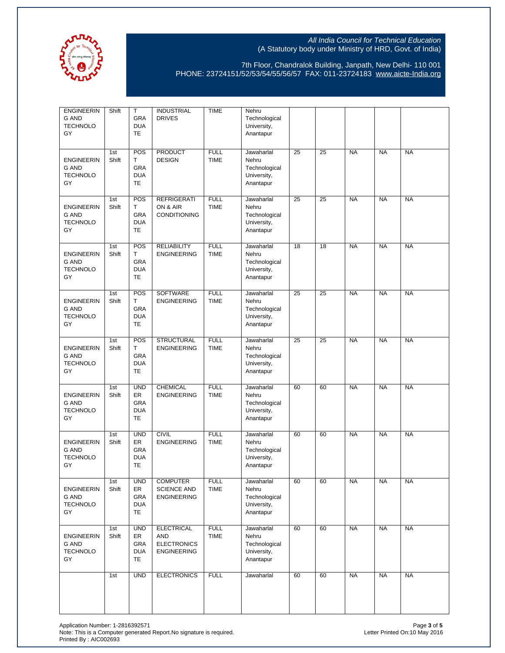

7th Floor, Chandralok Building, Janpath, New Delhi- 110 001 PHONE: 23724151/52/53/54/55/56/57 FAX: 011-23724183 [www.aicte-India.org](http://www.aicte-india.org/)

| <b>ENGINEERIN</b><br><b>G AND</b><br><b>TECHNOLO</b><br>GY | Shift        | T<br>GRA<br><b>DUA</b><br>TE                       | <b>INDUSTRIAL</b><br><b>DRIVES</b>                                          | <b>TIME</b>                | Nehru<br>Technological<br>University,<br>Anantapur               |    |    |           |           |           |
|------------------------------------------------------------|--------------|----------------------------------------------------|-----------------------------------------------------------------------------|----------------------------|------------------------------------------------------------------|----|----|-----------|-----------|-----------|
| <b>ENGINEERIN</b><br><b>G AND</b><br><b>TECHNOLO</b><br>GY | 1st<br>Shift | POS<br>Т<br>GRA<br><b>DUA</b><br><b>TE</b>         | <b>PRODUCT</b><br><b>DESIGN</b>                                             | <b>FULL</b><br><b>TIME</b> | Jawaharlal<br>Nehru<br>Technological<br>University,<br>Anantapur | 25 | 25 | <b>NA</b> | <b>NA</b> | <b>NA</b> |
| <b>ENGINEERIN</b><br><b>G AND</b><br><b>TECHNOLO</b><br>GY | 1st<br>Shift | POS<br>т<br>GRA<br><b>DUA</b><br><b>TE</b>         | <b>REFRIGERATI</b><br>ON & AIR<br><b>CONDITIONING</b>                       | <b>FULL</b><br><b>TIME</b> | Jawaharlal<br>Nehru<br>Technological<br>University,<br>Anantapur | 25 | 25 | <b>NA</b> | <b>NA</b> | <b>NA</b> |
| <b>ENGINEERIN</b><br><b>G AND</b><br><b>TECHNOLO</b><br>GY | 1st<br>Shift | POS<br>Т<br>GRA<br><b>DUA</b><br>TE                | <b>RELIABILITY</b><br><b>ENGINEERING</b>                                    | <b>FULL</b><br><b>TIME</b> | Jawaharlal<br>Nehru<br>Technological<br>University,<br>Anantapur | 18 | 18 | <b>NA</b> | <b>NA</b> | <b>NA</b> |
| <b>ENGINEERIN</b><br><b>G AND</b><br><b>TECHNOLO</b><br>GY | 1st<br>Shift | POS<br>T<br>GRA<br><b>DUA</b><br><b>TE</b>         | SOFTWARE<br><b>ENGINEERING</b>                                              | <b>FULL</b><br><b>TIME</b> | Jawaharlal<br>Nehru<br>Technological<br>University,<br>Anantapur | 25 | 25 | <b>NA</b> | <b>NA</b> | <b>NA</b> |
| <b>ENGINEERIN</b><br><b>G AND</b><br><b>TECHNOLO</b><br>GY | 1st<br>Shift | POS<br>Т<br><b>GRA</b><br><b>DUA</b><br>TE         | <b>STRUCTURAL</b><br><b>ENGINEERING</b>                                     | <b>FULL</b><br><b>TIME</b> | Jawaharlal<br>Nehru<br>Technological<br>University,<br>Anantapur | 25 | 25 | <b>NA</b> | <b>NA</b> | <b>NA</b> |
| <b>ENGINEERIN</b><br><b>G AND</b><br><b>TECHNOLO</b><br>GY | 1st<br>Shift | <b>UND</b><br>ER<br>GRA<br><b>DUA</b><br><b>TE</b> | CHEMICAL<br><b>ENGINEERING</b>                                              | <b>FULL</b><br><b>TIME</b> | Jawaharlal<br>Nehru<br>Technological<br>University,<br>Anantapur | 60 | 60 | <b>NA</b> | <b>NA</b> | <b>NA</b> |
| <b>ENGINEERIN</b><br>G AND<br><b>TECHNOLO</b><br>GY        | 1st<br>Shift | <b>UND</b><br>ER<br>GRA<br><b>DUA</b><br><b>TE</b> | <b>CIVIL</b><br><b>ENGINEERING</b>                                          | <b>FULL</b><br><b>TIME</b> | Jawaharlal<br>Nehru<br>Technological<br>University,<br>Anantapur | 60 | 60 | <b>NA</b> | <b>NA</b> | <b>NA</b> |
| <b>ENGINEERIN</b><br>G AND<br><b>TECHNOLO</b><br>GY        | 1st<br>Shift | <b>UND</b><br>ER<br>GRA<br><b>DUA</b><br>TE        | <b>COMPUTER</b><br><b>SCIENCE AND</b><br><b>ENGINEERING</b>                 | <b>FULL</b><br><b>TIME</b> | Jawaharlal<br>Nehru<br>Technological<br>University,<br>Anantapur | 60 | 60 | <b>NA</b> | <b>NA</b> | <b>NA</b> |
| <b>ENGINEERIN</b><br>G AND<br><b>TECHNOLO</b><br>GY        | 1st<br>Shift | <b>UND</b><br>ER<br>GRA<br><b>DUA</b><br><b>TE</b> | <b>ELECTRICAL</b><br><b>AND</b><br><b>ELECTRONICS</b><br><b>ENGINEERING</b> | <b>FULL</b><br><b>TIME</b> | Jawaharlal<br>Nehru<br>Technological<br>University,<br>Anantapur | 60 | 60 | <b>NA</b> | <b>NA</b> | <b>NA</b> |
|                                                            | 1st          | <b>UND</b>                                         | <b>ELECTRONICS</b>                                                          | <b>FULL</b>                | Jawaharlal                                                       | 60 | 60 | <b>NA</b> | <b>NA</b> | <b>NA</b> |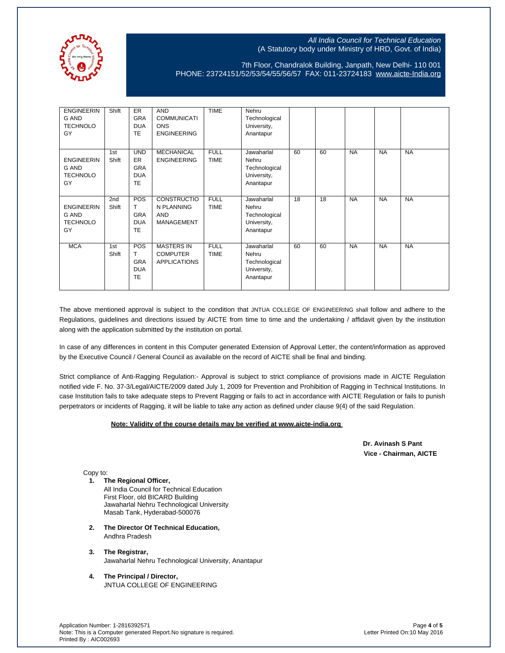

7th Floor, Chandralok Building, Janpath, New Delhi- 110 001 PHONE: 23724151/52/53/54/55/56/57 FAX: 011-23724183 [www.aicte-India.org](http://www.aicte-india.org/)

| <b>ENGINEERIN</b><br>G AND<br><b>TECHNOLO</b><br>GY | Shift                    | <b>ER</b><br><b>GRA</b><br><b>DUA</b><br><b>TE</b>               | <b>AND</b><br><b>COMMUNICATI</b><br><b>ONS</b><br><b>ENGINEERING</b> | <b>TIME</b>                | Nehru<br>Technological<br>University,<br>Anantapur               |    |    |           |           |           |
|-----------------------------------------------------|--------------------------|------------------------------------------------------------------|----------------------------------------------------------------------|----------------------------|------------------------------------------------------------------|----|----|-----------|-----------|-----------|
| <b>ENGINEERIN</b><br>G AND<br><b>TECHNOLO</b><br>GY | 1st<br>Shift             | <b>UND</b><br><b>ER</b><br><b>GRA</b><br><b>DUA</b><br><b>TE</b> | <b>MECHANICAL</b><br><b>ENGINEERING</b>                              | <b>FULL</b><br><b>TIME</b> | Jawaharlal<br>Nehru<br>Technological<br>University,<br>Anantapur | 60 | 60 | <b>NA</b> | <b>NA</b> | <b>NA</b> |
| <b>ENGINEERIN</b><br>G AND<br><b>TECHNOLO</b><br>GY | 2 <sub>nd</sub><br>Shift | POS<br>т<br><b>GRA</b><br><b>DUA</b><br><b>TE</b>                | <b>CONSTRUCTIO</b><br>N PLANNING<br><b>AND</b><br><b>MANAGEMENT</b>  | <b>FULL</b><br><b>TIME</b> | Jawaharlal<br>Nehru<br>Technological<br>University,<br>Anantapur | 18 | 18 | <b>NA</b> | <b>NA</b> | <b>NA</b> |
| <b>MCA</b>                                          | 1st<br>Shift             | <b>POS</b><br>т<br><b>GRA</b><br><b>DUA</b><br><b>TE</b>         | <b>MASTERS IN</b><br><b>COMPUTER</b><br><b>APPLICATIONS</b>          | <b>FULL</b><br><b>TIME</b> | Jawaharlal<br>Nehru<br>Technological<br>University,<br>Anantapur | 60 | 60 | <b>NA</b> | <b>NA</b> | <b>NA</b> |

The above mentioned approval is subject to the condition that JNTUA COLLEGE OF ENGINEERING shall follow and adhere to the Regulations, guidelines and directions issued by AICTE from time to time and the undertaking / affidavit given by the institution along with the application submitted by the institution on portal.

In case of any differences in content in this Computer generated Extension of Approval Letter, the content/information as approved by the Executive Council / General Council as available on the record of AICTE shall be final and binding.

Strict compliance of Anti-Ragging Regulation:- Approval is subject to strict compliance of provisions made in AICTE Regulation notified vide F. No. 37-3/Legal/AICTE/2009 dated July 1, 2009 for Prevention and Prohibition of Ragging in Technical Institutions. In case Institution fails to take adequate steps to Prevent Ragging or fails to act in accordance with AICTE Regulation or fails to punish perpetrators or incidents of Ragging, it will be liable to take any action as defined under clause 9(4) of the said Regulation.

#### **Note: Validity of the course details may be verified at www.aicte-india.org**

 **Dr. Avinash S Pant Vice - Chairman, AICTE**

Copy to:

**1. The Regional Officer,**

All India Council for Technical Education First Floor, old BICARD Building Jawaharlal Nehru Technological University Masab Tank, Hyderabad-500076

- **2. The Director Of Technical Education,** Andhra Pradesh
- **3. The Registrar,** Jawaharlal Nehru Technological University, Anantapur
- **4. The Principal / Director,** JNTUA COLLEGE OF ENGINEERING